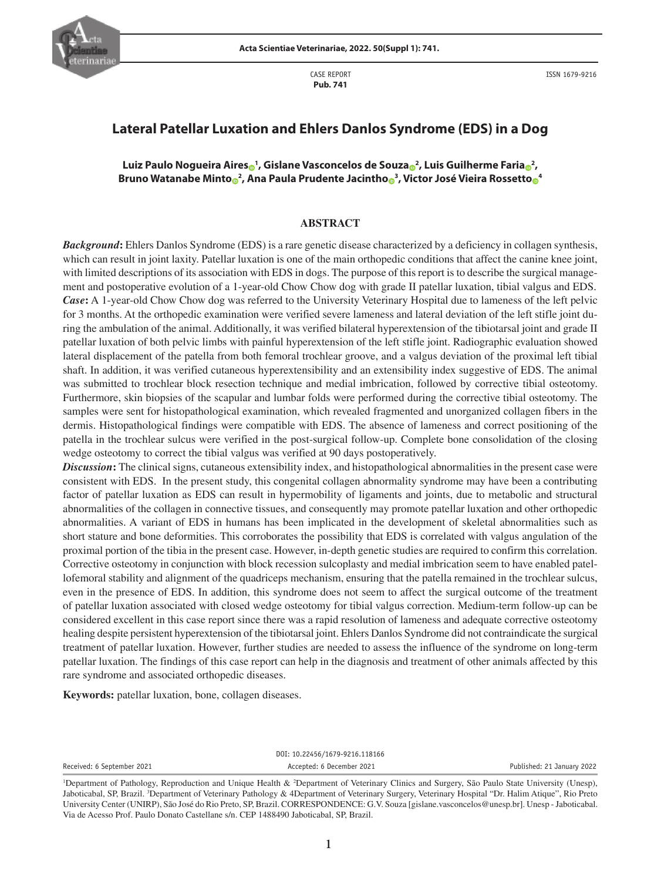

CASE REPORT **Pub. 741**

# **Lateral Patellar Luxation and Ehlers Danlos Syndrome (EDS) in a Dog**

**Luiz Paulo Nogueira Aire[s](https://orcid.org/0000-0002-7949-7958) <sup>1</sup> , Gislane Vasconcelos de Souz[a](https://orcid.org/0000-0003-3229-9396) <sup>2</sup> , Luis Guilherme Fari[a](https://orcid.org/0000-0002-9563-1870) <sup>2</sup> , Bruno Watanabe Mint[o](https://orcid.org/0000-0002-8808-4127) <sup>2</sup> , Ana Paula Prudente Jacinth[o](https://orcid.org/0000-0001-9983-4790) <sup>3</sup> , Victor José Vieira Rossett[o](https://orcid.org/0000-0001-7693-8108) <sup>4</sup>**

#### **ABSTRACT**

*Background***:** Ehlers Danlos Syndrome (EDS) is a rare genetic disease characterized by a deficiency in collagen synthesis, which can result in joint laxity. Patellar luxation is one of the main orthopedic conditions that affect the canine knee joint, with limited descriptions of its association with EDS in dogs. The purpose of this report is to describe the surgical management and postoperative evolution of a 1-year-old Chow Chow dog with grade II patellar luxation, tibial valgus and EDS. *Case***:** A 1-year-old Chow Chow dog was referred to the University Veterinary Hospital due to lameness of the left pelvic for 3 months. At the orthopedic examination were verified severe lameness and lateral deviation of the left stifle joint during the ambulation of the animal. Additionally, it was verified bilateral hyperextension of the tibiotarsal joint and grade II patellar luxation of both pelvic limbs with painful hyperextension of the left stifle joint. Radiographic evaluation showed lateral displacement of the patella from both femoral trochlear groove, and a valgus deviation of the proximal left tibial shaft. In addition, it was verified cutaneous hyperextensibility and an extensibility index suggestive of EDS. The animal was submitted to trochlear block resection technique and medial imbrication, followed by corrective tibial osteotomy. Furthermore, skin biopsies of the scapular and lumbar folds were performed during the corrective tibial osteotomy. The samples were sent for histopathological examination, which revealed fragmented and unorganized collagen fibers in the dermis. Histopathological findings were compatible with EDS. The absence of lameness and correct positioning of the patella in the trochlear sulcus were verified in the post-surgical follow-up. Complete bone consolidation of the closing wedge osteotomy to correct the tibial valgus was verified at 90 days postoperatively.

*Discussion***:** The clinical signs, cutaneous extensibility index, and histopathological abnormalities in the present case were consistent with EDS. In the present study, this congenital collagen abnormality syndrome may have been a contributing factor of patellar luxation as EDS can result in hypermobility of ligaments and joints, due to metabolic and structural abnormalities of the collagen in connective tissues, and consequently may promote patellar luxation and other orthopedic abnormalities. A variant of EDS in humans has been implicated in the development of skeletal abnormalities such as short stature and bone deformities. This corroborates the possibility that EDS is correlated with valgus angulation of the proximal portion of the tibia in the present case. However, in-depth genetic studies are required to confirm this correlation. Corrective osteotomy in conjunction with block recession sulcoplasty and medial imbrication seem to have enabled patellofemoral stability and alignment of the quadriceps mechanism, ensuring that the patella remained in the trochlear sulcus, even in the presence of EDS. In addition, this syndrome does not seem to affect the surgical outcome of the treatment of patellar luxation associated with closed wedge osteotomy for tibial valgus correction. Medium-term follow-up can be considered excellent in this case report since there was a rapid resolution of lameness and adequate corrective osteotomy healing despite persistent hyperextension of the tibiotarsal joint. Ehlers Danlos Syndrome did not contraindicate the surgical treatment of patellar luxation. However, further studies are needed to assess the influence of the syndrome on long-term patellar luxation. The findings of this case report can help in the diagnosis and treatment of other animals affected by this rare syndrome and associated orthopedic diseases.

**Keywords:** patellar luxation, bone, collagen diseases.

DOI: 10.22456/1679-9216.118166 Received: 6 September 2021 **Accepted: 6 December 2021** Published: 21 January 2022

<sup>1</sup> Department of Pathology, Reproduction and Unique Health & 2 Department of Veterinary Clinics and Surgery, São Paulo State University (Unesp), Jaboticabal, SP, Brazil. <sup>3</sup>Department of Veterinary Pathology & 4Department of Veterinary Surgery, Veterinary Hospital "Dr. Halim Atique", Rio Preto University Center (UNIRP), São José do Rio Preto, SP, Brazil. CORRESPONDENCE: G.V. Souza [gislane.vasconcelos@unesp.br]. Unesp - Jaboticabal. Via de Acesso Prof. Paulo Donato Castellane s/n. CEP 1488490 Jaboticabal, SP, Brazil.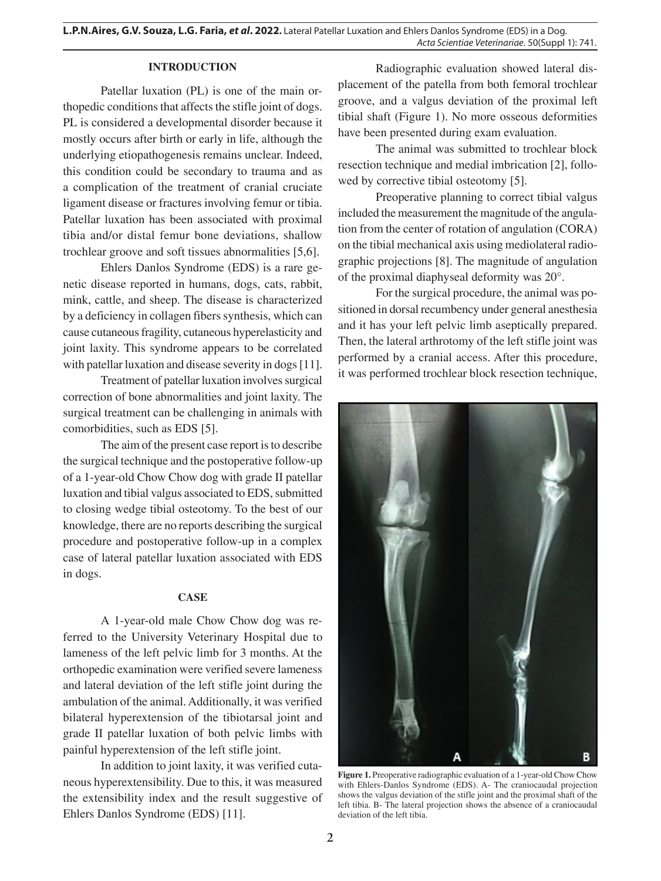## **INTRODUCTION**

Patellar luxation (PL) is one of the main orthopedic conditions that affects the stifle joint of dogs. PL is considered a developmental disorder because it mostly occurs after birth or early in life, although the underlying etiopathogenesis remains unclear. Indeed, this condition could be secondary to trauma and as a complication of the treatment of cranial cruciate ligament disease or fractures involving femur or tibia. Patellar luxation has been associated with proximal tibia and/or distal femur bone deviations, shallow trochlear groove and soft tissues abnormalities [5,6].

Ehlers Danlos Syndrome (EDS) is a rare genetic disease reported in humans, dogs, cats, rabbit, mink, cattle, and sheep. The disease is characterized by a deficiency in collagen fibers synthesis, which can cause cutaneous fragility, cutaneous hyperelasticity and joint laxity. This syndrome appears to be correlated with patellar luxation and disease severity in dogs [11].

Treatment of patellar luxation involves surgical correction of bone abnormalities and joint laxity. The surgical treatment can be challenging in animals with comorbidities, such as EDS [5].

The aim of the present case report is to describe the surgical technique and the postoperative follow-up of a 1-year-old Chow Chow dog with grade II patellar luxation and tibial valgus associated to EDS, submitted to closing wedge tibial osteotomy. To the best of our knowledge, there are no reports describing the surgical procedure and postoperative follow-up in a complex case of lateral patellar luxation associated with EDS in dogs.

#### **CASE**

A 1-year-old male Chow Chow dog was referred to the University Veterinary Hospital due to lameness of the left pelvic limb for 3 months. At the orthopedic examination were verified severe lameness and lateral deviation of the left stifle joint during the ambulation of the animal. Additionally, it was verified bilateral hyperextension of the tibiotarsal joint and grade II patellar luxation of both pelvic limbs with painful hyperextension of the left stifle joint.

In addition to joint laxity, it was verified cutaneous hyperextensibility. Due to this, it was measured the extensibility index and the result suggestive of Ehlers Danlos Syndrome (EDS) [11].

Radiographic evaluation showed lateral displacement of the patella from both femoral trochlear groove, and a valgus deviation of the proximal left tibial shaft (Figure 1). No more osseous deformities have been presented during exam evaluation.

The animal was submitted to trochlear block resection technique and medial imbrication [2], followed by corrective tibial osteotomy [5].

Preoperative planning to correct tibial valgus included the measurement the magnitude of the angulation from the center of rotation of angulation (CORA) on the tibial mechanical axis using mediolateral radiographic projections [8]. The magnitude of angulation of the proximal diaphyseal deformity was 20°.

For the surgical procedure, the animal was positioned in dorsal recumbency under general anesthesia and it has your left pelvic limb aseptically prepared. Then, the lateral arthrotomy of the left stifle joint was performed by a cranial access. After this procedure, it was performed trochlear block resection technique,



**Figure 1.** Preoperative radiographic evaluation of a 1-year-old Chow Chow with Ehlers-Danlos Syndrome (EDS). A- The craniocaudal projection shows the valgus deviation of the stifle joint and the proximal shaft of the left tibia. B- The lateral projection shows the absence of a craniocaudal deviation of the left tibia.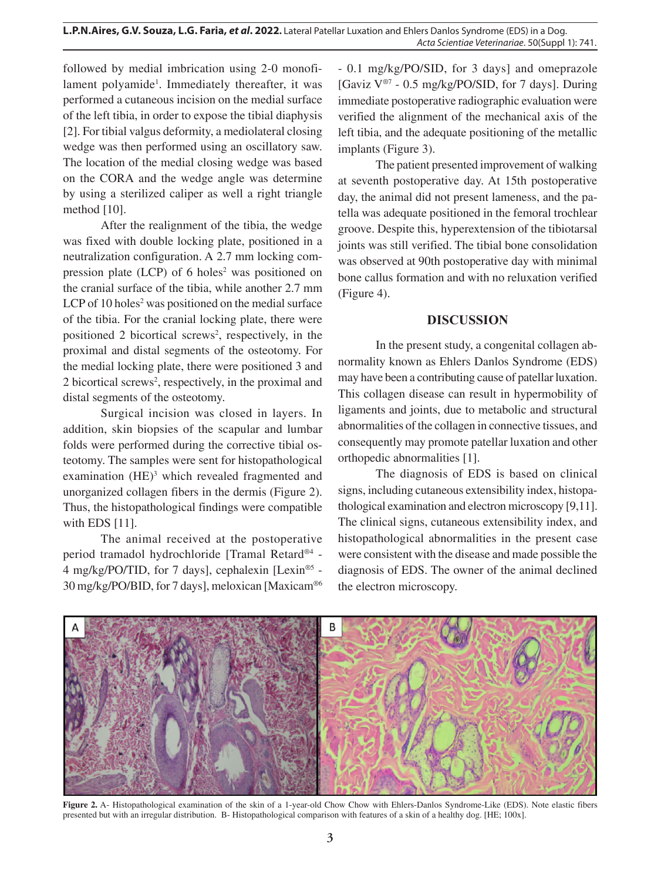followed by medial imbrication using 2-0 monofilament polyamide<sup>1</sup>. Immediately thereafter, it was performed a cutaneous incision on the medial surface of the left tibia, in order to expose the tibial diaphysis [2]. For tibial valgus deformity, a mediolateral closing wedge was then performed using an oscillatory saw. The location of the medial closing wedge was based on the CORA and the wedge angle was determine by using a sterilized caliper as well a right triangle method [10].

After the realignment of the tibia, the wedge was fixed with double locking plate, positioned in a neutralization configuration. A 2.7 mm locking compression plate  $(LCD)$  of 6 holes<sup>2</sup> was positioned on the cranial surface of the tibia, while another 2.7 mm LCP of  $10$  holes<sup>2</sup> was positioned on the medial surface of the tibia. For the cranial locking plate, there were positioned 2 bicortical screws<sup>2</sup>, respectively, in the proximal and distal segments of the osteotomy. For the medial locking plate, there were positioned 3 and 2 bicortical screws<sup>2</sup>, respectively, in the proximal and distal segments of the osteotomy.

Surgical incision was closed in layers. In addition, skin biopsies of the scapular and lumbar folds were performed during the corrective tibial osteotomy. The samples were sent for histopathological examination (HE)<sup>3</sup> which revealed fragmented and unorganized collagen fibers in the dermis (Figure 2). Thus, the histopathological findings were compatible with EDS [11].

The animal received at the postoperative period tramadol hydrochloride [Tramal Retard®4 - 4 mg/kg/PO/TID, for 7 days], cephalexin [Lexin®5 - 30 mg/kg/PO/BID, for 7 days], meloxican [Maxicam®6 - 0.1 mg/kg/PO/SID, for 3 days] and omeprazole [Gaviz V®7 - 0.5 mg/kg/PO/SID, for 7 days]. During immediate postoperative radiographic evaluation were verified the alignment of the mechanical axis of the left tibia, and the adequate positioning of the metallic implants (Figure 3).

The patient presented improvement of walking at seventh postoperative day. At 15th postoperative day, the animal did not present lameness, and the patella was adequate positioned in the femoral trochlear groove. Despite this, hyperextension of the tibiotarsal joints was still verified. The tibial bone consolidation was observed at 90th postoperative day with minimal bone callus formation and with no reluxation verified (Figure 4).

## **DISCUSSION**

In the present study, a congenital collagen abnormality known as Ehlers Danlos Syndrome (EDS) may have been a contributing cause of patellar luxation. This collagen disease can result in hypermobility of ligaments and joints, due to metabolic and structural abnormalities of the collagen in connective tissues, and consequently may promote patellar luxation and other orthopedic abnormalities [1].

The diagnosis of EDS is based on clinical signs, including cutaneous extensibility index, histopathological examination and electron microscopy [9,11]. The clinical signs, cutaneous extensibility index, and histopathological abnormalities in the present case were consistent with the disease and made possible the diagnosis of EDS. The owner of the animal declined the electron microscopy.



Figure 2. A- Histopathological examination of the skin of a 1-year-old Chow Chow with Ehlers-Danlos Syndrome-Like (EDS). Note elastic fibers presented but with an irregular distribution. B- Histopathological comparison with features of a skin of a healthy dog. [HE; 100x].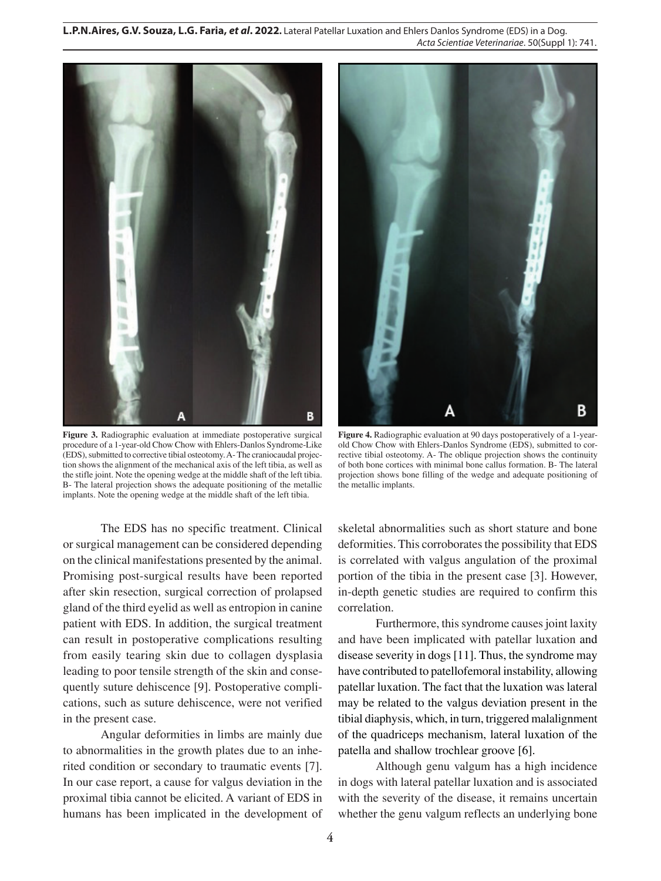**L.P.N.Aires, G.V. Souza, L.G. Faria,** *et al***. 2022.** Lateral Patellar Luxation and Ehlers Danlos Syndrome (EDS) in a Dog. *Acta Scientiae Veterinariae*. 50(Suppl 1): 741.



**Figure 3.** Radiographic evaluation at immediate postoperative surgical procedure of a 1-year-old Chow Chow with Ehlers-Danlos Syndrome-Like (EDS), submitted to corrective tibial osteotomy. A- The craniocaudal projection shows the alignment of the mechanical axis of the left tibia, as well as the stifle joint. Note the opening wedge at the middle shaft of the left tibia. B- The lateral projection shows the adequate positioning of the metallic implants. Note the opening wedge at the middle shaft of the left tibia.

The EDS has no specific treatment. Clinical or surgical management can be considered depending on the clinical manifestations presented by the animal. Promising post-surgical results have been reported after skin resection, surgical correction of prolapsed gland of the third eyelid as well as entropion in canine patient with EDS. In addition, the surgical treatment can result in postoperative complications resulting from easily tearing skin due to collagen dysplasia leading to poor tensile strength of the skin and consequently suture dehiscence [9]. Postoperative complications, such as suture dehiscence, were not verified in the present case.

Angular deformities in limbs are mainly due to abnormalities in the growth plates due to an inherited condition or secondary to traumatic events [7]. In our case report, a cause for valgus deviation in the proximal tibia cannot be elicited. A variant of EDS in humans has been implicated in the development of



**Figure 4.** Radiographic evaluation at 90 days postoperatively of a 1-yearold Chow Chow with Ehlers-Danlos Syndrome (EDS), submitted to corrective tibial osteotomy. A- The oblique projection shows the continuity of both bone cortices with minimal bone callus formation. B- The lateral projection shows bone filling of the wedge and adequate positioning of the metallic implants.

skeletal abnormalities such as short stature and bone deformities. This corroborates the possibility that EDS is correlated with valgus angulation of the proximal portion of the tibia in the present case [3]. However, in-depth genetic studies are required to confirm this correlation.

Furthermore, this syndrome causes joint laxity and have been implicated with patellar luxation and disease severity in dogs [11]. Thus, the syndrome may have contributed to patellofemoral instability, allowing patellar luxation. The fact that the luxation was lateral may be related to the valgus deviation present in the tibial diaphysis, which, in turn, triggered malalignment of the quadriceps mechanism, lateral luxation of the patella and shallow trochlear groove [6].

Although genu valgum has a high incidence in dogs with lateral patellar luxation and is associated with the severity of the disease, it remains uncertain whether the genu valgum reflects an underlying bone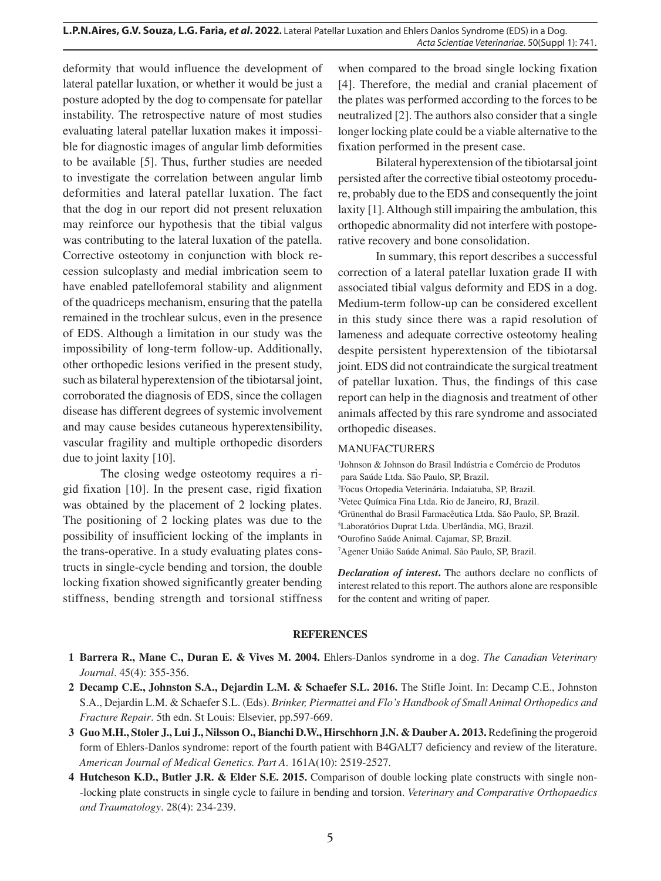deformity that would influence the development of lateral patellar luxation, or whether it would be just a posture adopted by the dog to compensate for patellar instability. The retrospective nature of most studies evaluating lateral patellar luxation makes it impossible for diagnostic images of angular limb deformities to be available [5]. Thus, further studies are needed to investigate the correlation between angular limb deformities and lateral patellar luxation. The fact that the dog in our report did not present reluxation may reinforce our hypothesis that the tibial valgus was contributing to the lateral luxation of the patella. Corrective osteotomy in conjunction with block recession sulcoplasty and medial imbrication seem to have enabled patellofemoral stability and alignment of the quadriceps mechanism, ensuring that the patella remained in the trochlear sulcus, even in the presence of EDS. Although a limitation in our study was the impossibility of long-term follow-up. Additionally, other orthopedic lesions verified in the present study, such as bilateral hyperextension of the tibiotarsal joint, corroborated the diagnosis of EDS, since the collagen disease has different degrees of systemic involvement and may cause besides cutaneous hyperextensibility, vascular fragility and multiple orthopedic disorders due to joint laxity [10].

The closing wedge osteotomy requires a rigid fixation [10]. In the present case, rigid fixation was obtained by the placement of 2 locking plates. The positioning of 2 locking plates was due to the possibility of insufficient locking of the implants in the trans-operative. In a study evaluating plates constructs in single-cycle bending and torsion, the double locking fixation showed significantly greater bending stiffness, bending strength and torsional stiffness

when compared to the broad single locking fixation [4]. Therefore, the medial and cranial placement of the plates was performed according to the forces to be neutralized [2]. The authors also consider that a single longer locking plate could be a viable alternative to the fixation performed in the present case.

Bilateral hyperextension of the tibiotarsal joint persisted after the corrective tibial osteotomy procedure, probably due to the EDS and consequently the joint laxity [1]. Although still impairing the ambulation, this orthopedic abnormality did not interfere with postoperative recovery and bone consolidation.

In summary, this report describes a successful correction of a lateral patellar luxation grade II with associated tibial valgus deformity and EDS in a dog. Medium-term follow-up can be considered excellent in this study since there was a rapid resolution of lameness and adequate corrective osteotomy healing despite persistent hyperextension of the tibiotarsal joint. EDS did not contraindicate the surgical treatment of patellar luxation. Thus, the findings of this case report can help in the diagnosis and treatment of other animals affected by this rare syndrome and associated orthopedic diseases.

#### MANUFACTURERS

 Johnson & Johnson do Brasil Indústria e Comércio de Produtos para Saúde Ltda. São Paulo, SP, Brazil. Focus Ortopedia Veterinária. Indaiatuba, SP, Brazil. Vetec Química Fina Ltda. Rio de Janeiro, RJ, Brazil. Grünenthal do Brasil Farmacêutica Ltda. São Paulo, SP, Brazil. Laboratórios Duprat Ltda. Uberlândia, MG, Brazil. Ourofino Saúde Animal. Cajamar, SP, Brazil. Agener União Saúde Animal. São Paulo, SP, Brazil.

*Declaration of interest***.** The authors declare no conflicts of interest related to this report. The authors alone are responsible for the content and writing of paper.

#### **REFERENCES**

- **1 Barrera R., Mane C., Duran E. & Vives M. 2004.** Ehlers-Danlos syndrome in a dog. *The Canadian Veterinary Journal*. 45(4): 355-356.
- **2 Decamp C.E., Johnston S.A., Dejardin L.M. & Schaefer S.L. 2016.** The Stifle Joint. In: Decamp C.E., Johnston S.A., Dejardin L.M. & Schaefer S.L. (Eds). *Brinker, Piermattei and Flo's Handbook of Small Animal Orthopedics and Fracture Repair*. 5th edn. St Louis: Elsevier, pp.597-669.
- **3 Guo M.H., Stoler J., Lui J., Nilsson O., Bianchi D.W., Hirschhorn J.N. & Dauber A. 2013.** Redefining the progeroid form of Ehlers-Danlos syndrome: report of the fourth patient with B4GALT7 deficiency and review of the literature. *American Journal of Medical Genetics. Part A*. 161A(10): 2519-2527.
- **4 Hutcheson K.D., Butler J.R. & Elder S.E. 2015.** Comparison of double locking plate constructs with single non- -locking plate constructs in single cycle to failure in bending and torsion. *Veterinary and Comparative Orthopaedics and Traumatology*. 28(4): 234-239.